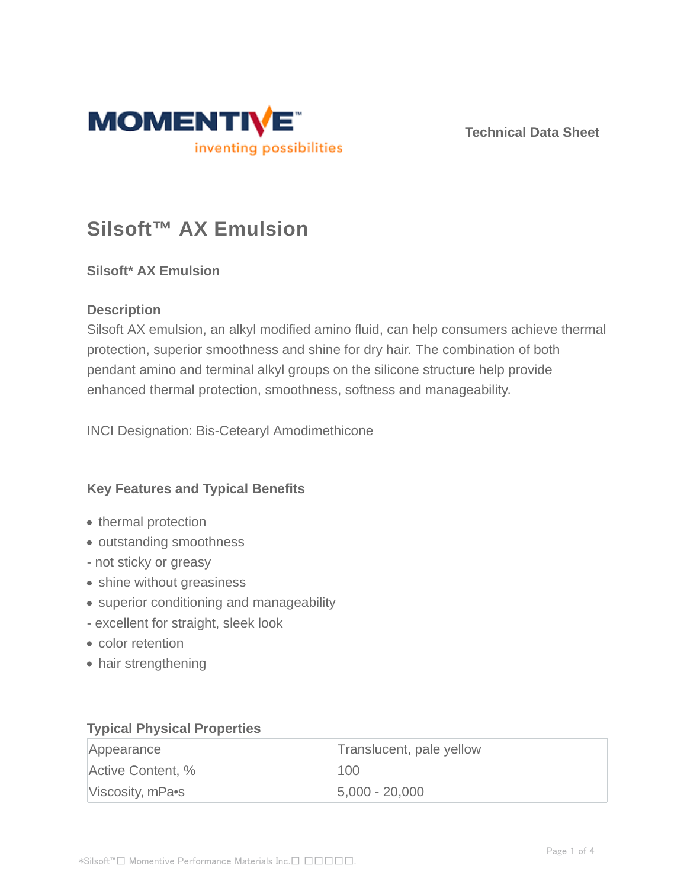

**Technical Data Sheet**

# **Silsoft™ AX Emulsion**

# **Silsoft\* AX Emulsion**

# **Description**

Silsoft AX emulsion, an alkyl modified amino fluid, can help consumers achieve thermal protection, superior smoothness and shine for dry hair. The combination of both pendant amino and terminal alkyl groups on the silicone structure help provide enhanced thermal protection, smoothness, softness and manageability.

INCI Designation: Bis-Cetearyl Amodimethicone

# **Key Features and Typical Benefits**

- thermal protection
- outstanding smoothness
- not sticky or greasy
- shine without greasiness
- superior conditioning and manageability
- excellent for straight, sleek look
- color retention
- hair strengthening

# **Typical Physical Properties**

| Appearance        | Translucent, pale yellow |
|-------------------|--------------------------|
| Active Content, % | 100                      |
| Viscosity, mPa•s  | $ 5,000 - 20,000 $       |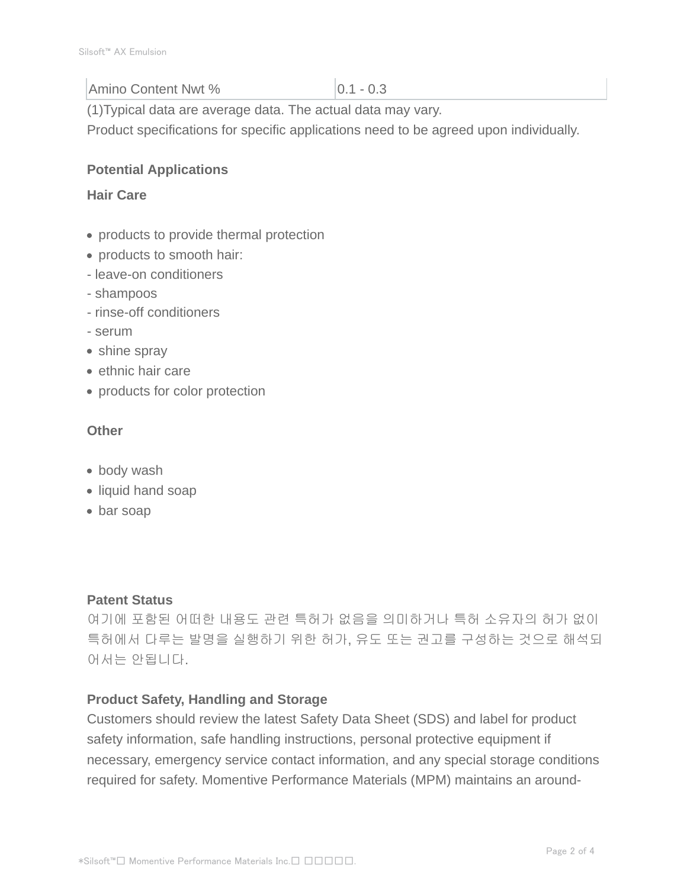### Amino Content Nwt % 0.1 - 0.3

(1)Typical data are average data. The actual data may vary.

Product specifications for specific applications need to be agreed upon individually.

# **Potential Applications**

#### **Hair Care**

- products to provide thermal protection
- products to smooth hair:
- leave-on conditioners
- shampoos
- rinse-off conditioners
- serum
- shine spray
- ethnic hair care
- products for color protection

#### **Other**

- body wash
- liquid hand soap
- bar soap

# **Patent Status**

여기에 포함된 어떠한 내용도 관련 특허가 없음을 의미하거나 특허 소유자의 허가 없이 특허에서 다루는 발명을 실행하기 위한 허가, 유도 또는 권고를 구성하는 것으로 해석되 어서는 안됩니다.

# **Product Safety, Handling and Storage**

Customers should review the latest Safety Data Sheet (SDS) and label for product safety information, safe handling instructions, personal protective equipment if necessary, emergency service contact information, and any special storage conditions required for safety. Momentive Performance Materials (MPM) maintains an around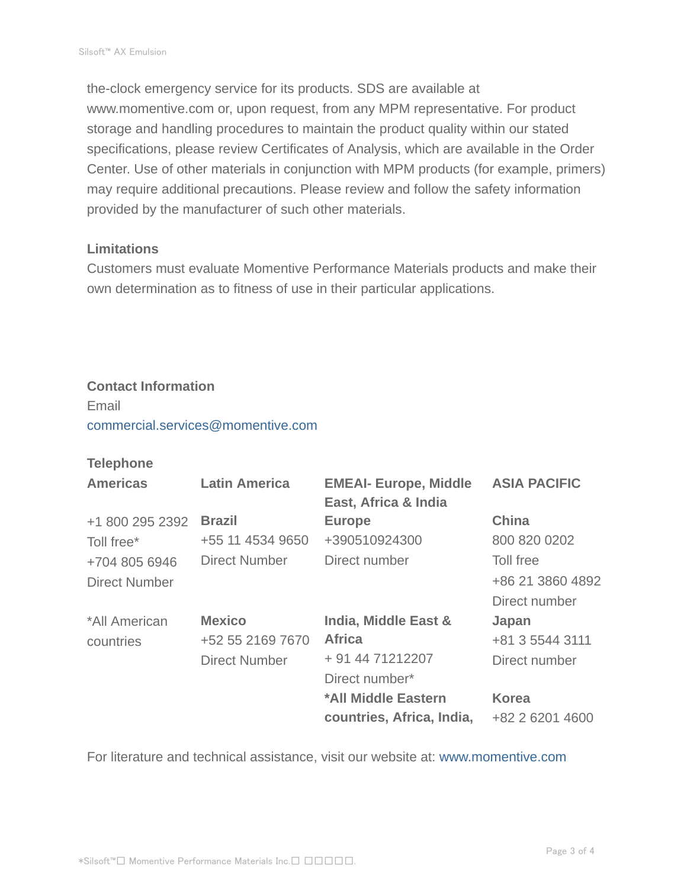the-clock emergency service for its products. SDS are available at www.momentive.com or, upon request, from any MPM representative. For product storage and handling procedures to maintain the product quality within our stated specifications, please review Certificates of Analysis, which are available in the Order Center. Use of other materials in conjunction with MPM products (for example, primers) may require additional precautions. Please review and follow the safety information provided by the manufacturer of such other materials.

#### **Limitations**

Customers must evaluate Momentive Performance Materials products and make their own determination as to fitness of use in their particular applications.

#### **Contact Information**

Email commercial.services@momentive.com

# **Telephone**

| <b>Americas</b>      | <b>Latin America</b> | <b>EMEAI- Europe, Middle</b><br>East, Africa & India | <b>ASIA PACIFIC</b> |
|----------------------|----------------------|------------------------------------------------------|---------------------|
| +1 800 295 2392      | <b>Brazil</b>        | <b>Europe</b>                                        | <b>China</b>        |
| Toll free*           | +55 11 4534 9650     | +390510924300                                        | 800 820 0202        |
| +704 805 6946        | <b>Direct Number</b> | Direct number                                        | Toll free           |
| <b>Direct Number</b> |                      |                                                      | +86 21 3860 4892    |
|                      |                      |                                                      | Direct number       |
| *All American        | <b>Mexico</b>        | India, Middle East &                                 | Japan               |
| countries            | +52 55 2169 7670     | <b>Africa</b>                                        | +81 3 5544 3111     |
|                      | <b>Direct Number</b> | + 91 44 71212207                                     | Direct number       |
|                      |                      | Direct number*                                       |                     |
|                      |                      | *All Middle Eastern                                  | <b>Korea</b>        |
|                      |                      | countries, Africa, India,                            | +82 2 6201 4600     |

For literature and technical assistance, visit our website at: www.momentive.com